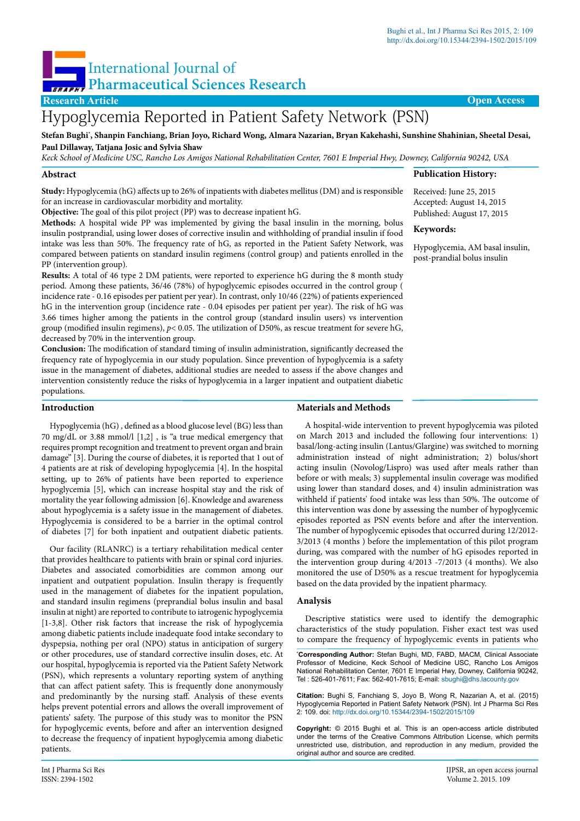**Publication History:** Received: June 25, 2015 Accepted: August 14, 2015 Published: August 17, 2015

Hypoglycemia, AM basal insulin, post-prandial bolus insulin

**Keywords:**

# International Journal of **Pharmaceutical Sciences Research**

# **Research Article Open Access**

# Hypoglycemia Reported in Patient Safety Network (PSN)

**Stefan Bughi\* , Shanpin Fanchiang, Brian Joyo, Richard Wong, Almara Nazarian, Bryan Kakehashi, Sunshine Shahinian, Sheetal Desai, Paul Dillaway, Tatjana Josic and Sylvia Shaw** 

*Keck School of Medicine USC, Rancho Los Amigos National Rehabilitation Center, 7601 E Imperial Hwy, Downey, California 90242, USA*

#### **Abstract**

**Study:** Hypoglycemia (hG) affects up to 26% of inpatients with diabetes mellitus (DM) and is responsible for an increase in cardiovascular morbidity and mortality.

**Objective:** The goal of this pilot project (PP) was to decrease inpatient hG.

**Methods:** A hospital wide PP was implemented by giving the basal insulin in the morning, bolus insulin postprandial, using lower doses of corrective insulin and withholding of prandial insulin if food intake was less than 50%. The frequency rate of hG, as reported in the Patient Safety Network, was compared between patients on standard insulin regimens (control group) and patients enrolled in the PP (intervention group).

**Results:** A total of 46 type 2 DM patients, were reported to experience hG during the 8 month study period. Among these patients, 36/46 (78%) of hypoglycemic episodes occurred in the control group ( incidence rate - 0.16 episodes per patient per year). In contrast, only 10/46 (22%) of patients experienced hG in the intervention group (incidence rate - 0.04 episodes per patient per year). The risk of hG was 3.66 times higher among the patients in the control group (standard insulin users) vs intervention group (modified insulin regimens), *p*< 0.05. The utilization of D50%, as rescue treatment for severe hG, decreased by 70% in the intervention group.

**Conclusion:** The modification of standard timing of insulin administration, significantly decreased the frequency rate of hypoglycemia in our study population. Since prevention of hypoglycemia is a safety issue in the management of diabetes, additional studies are needed to assess if the above changes and intervention consistently reduce the risks of hypoglycemia in a larger inpatient and outpatient diabetic populations.

#### **Introduction**

Hypoglycemia (hG) , defined as a blood glucose level (BG) less than 70 mg/dL or 3.88 mmol/l [1,2] , is "a true medical emergency that requires prompt recognition and treatment to prevent organ and brain damage" [3]. During the course of diabetes, it is reported that 1 out of 4 patients are at risk of developing hypoglycemia [4]. In the hospital setting, up to 26% of patients have been reported to experience hypoglycemia [5], which can increase hospital stay and the risk of mortality the year following admission [6]. Knowledge and awareness about hypoglycemia is a safety issue in the management of diabetes. Hypoglycemia is considered to be a barrier in the optimal control of diabetes [7] for both inpatient and outpatient diabetic patients.

Our facility (RLANRC) is a tertiary rehabilitation medical center that provides healthcare to patients with brain or spinal cord injuries. Diabetes and associated comorbidities are common among our inpatient and outpatient population. Insulin therapy is frequently used in the management of diabetes for the inpatient population, and standard insulin regimens (preprandial bolus insulin and basal insulin at night) are reported to contribute to iatrogenic hypoglycemia [1-3,8]. Other risk factors that increase the risk of hypoglycemia among diabetic patients include inadequate food intake secondary to dyspepsia, nothing per oral (NPO) status in anticipation of surgery or other procedures, use of standard corrective insulin doses, etc. At our hospital, hypoglycemia is reported via the Patient Safety Network (PSN), which represents a voluntary reporting system of anything that can affect patient safety. This is frequently done anonymously and predominantly by the nursing staff. Analysis of these events helps prevent potential errors and allows the overall improvement of patients' safety. The purpose of this study was to monitor the PSN for hypoglycemic events, before and after an intervention designed to decrease the frequency of inpatient hypoglycemia among diabetic patients.

# **Materials and Methods**

A hospital-wide intervention to prevent hypoglycemia was piloted on March 2013 and included the following four interventions: 1) basal/long-acting insulin (Lantus/Glargine) was switched to morning administration instead of night administration; 2) bolus/short acting insulin (Novolog/Lispro) was used after meals rather than before or with meals; 3) supplemental insulin coverage was modified using lower than standard doses, and 4) insulin administration was withheld if patients' food intake was less than 50%. The outcome of this intervention was done by assessing the number of hypoglycemic episodes reported as PSN events before and after the intervention. The number of hypoglycemic episodes that occurred during 12/2012- 3/2013 (4 months ) before the implementation of this pilot program during, was compared with the number of hG episodes reported in the intervention group during 4/2013 -7/2013 (4 months). We also monitored the use of D50% as a rescue treatment for hypoglycemia based on the data provided by the inpatient pharmacy.

#### **Analysis**

Descriptive statistics were used to identify the demographic characteristics of the study population. Fisher exact test was used to compare the frequency of hypoglycemic events in patients who

**\* Corresponding Author:** Stefan Bughi, MD, FABD, MACM, Clinical Associate Professor of Medicine, Keck School of Medicine USC, Rancho Los Amigos National Rehabilitation Center, 7601 E Imperial Hwy, Downey, California 90242, Tel : 526-401-7611; Fax: 562-401-7615; E-mail: sbughi@dhs.lacounty.gov

**Citation:** Bughi S, Fanchiang S, Joyo B, Wong R, Nazarian A, et al. (2015) Hypoglycemia Reported in Patient Safety Network (PSN). Int J Pharma Sci Res 2: 109. doi:<http://dx.doi.org/10.15344/2394-1502/2015/109>

**Copyright:** © 2015 Bughi et al. This is an open-access article distributed under the terms of the Creative Commons Attribution License, which permits unrestricted use, distribution, and reproduction in any medium, provided the original author and source are credited.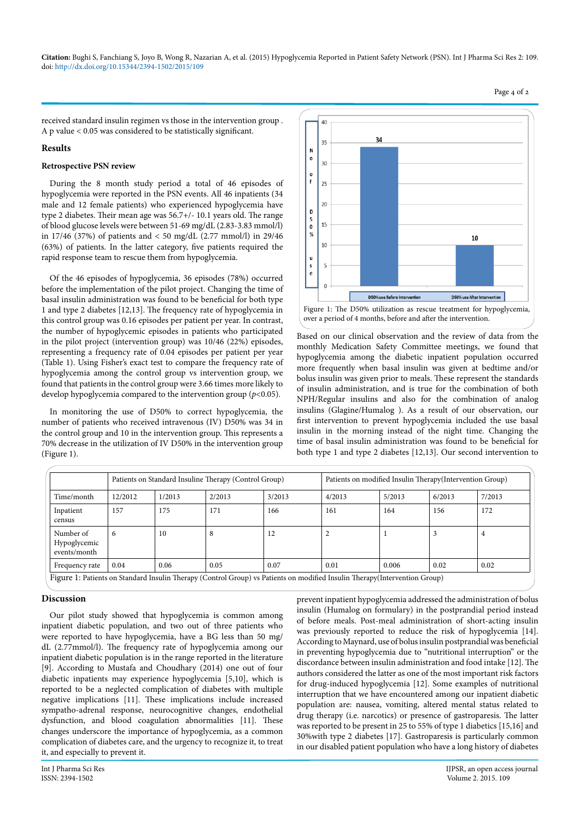**Citation:** Bughi S, Fanchiang S, Joyo B, Wong R, Na[z](http://dx.doi.org/10.15344/2394-1502/2015/108%20)arian A, et al. (2015) Hypoglycemia Reported in Patient Safety Network (PSN). Int J Pharma Sci Res 2: 109. doi: <http://dx.doi.org/10.15344/2394-1502/2015/109>

received standard insulin regimen vs those in the intervention group . A p value < 0.05 was considered to be statistically significant.

#### **Results**

#### **Retrospective PSN review**

During the 8 month study period a total of 46 episodes of hypoglycemia were reported in the PSN events. All 46 inpatients (34 male and 12 female patients) who experienced hypoglycemia have type 2 diabetes. Their mean age was 56.7+/- 10.1 years old. The range of blood glucose levels were between 51-69 mg/dL (2.83-3.83 mmol/l) in 17/46 (37%) of patients and < 50 mg/dL (2.77 mmol/l) in 29/46 (63%) of patients. In the latter category, five patients required the rapid response team to rescue them from hypoglycemia.

Of the 46 episodes of hypoglycemia, 36 episodes (78%) occurred before the implementation of the pilot project. Changing the time of basal insulin administration was found to be beneficial for both type 1 and type 2 diabetes [12,13]. The frequency rate of hypoglycemia in this control group was 0.16 episodes per patient per year. In contrast, the number of hypoglycemic episodes in patients who participated in the pilot project (intervention group) was 10/46 (22%) episodes, representing a frequency rate of 0.04 episodes per patient per year (Table 1). Using Fisher's exact test to compare the frequency rate of hypoglycemia among the control group vs intervention group, we found that patients in the control group were 3.66 times more likely to develop hypoglycemia compared to the intervention group (*p*<0.05).

In monitoring the use of D50% to correct hypoglycemia, the number of patients who received intravenous (IV) D50% was 34 in the control group and 10 in the intervention group. This represents a 70% decrease in the utilization of IV D50% in the intervention group (Figure 1).



over a period of 4 months, before and after the intervention.

Based on our clinical observation and the review of data from the monthly Medication Safety Committee meetings, we found that hypoglycemia among the diabetic inpatient population occurred more frequently when basal insulin was given at bedtime and/or bolus insulin was given prior to meals. These represent the standards of insulin administration, and is true for the combination of both NPH/Regular insulins and also for the combination of analog insulins (Glagine/Humalog ). As a result of our observation, our first intervention to prevent hypoglycemia included the use basal insulin in the morning instead of the night time. Changing the time of basal insulin administration was found to be beneficial for both type 1 and type 2 diabetes [12,13]. Our second intervention to

|                                           | Patients on Standard Insuline Therapy (Control Group) |        |        |        | Patients on modified Insulin Therapy (Intervention Group)                                                                   |        |        |        |
|-------------------------------------------|-------------------------------------------------------|--------|--------|--------|-----------------------------------------------------------------------------------------------------------------------------|--------|--------|--------|
| Time/month                                | 12/2012                                               | 1/2013 | 2/2013 | 3/2013 | 4/2013                                                                                                                      | 5/2013 | 6/2013 | 7/2013 |
| Inpatient<br>census                       | 157                                                   | 175    | 171    | 166    | 161                                                                                                                         | 164    | 156    | 172    |
| Number of<br>Hypoglycemic<br>events/month | 6                                                     | 10     | 8      | 12     |                                                                                                                             |        | 3      |        |
| Frequency rate                            | 0.04                                                  | 0.06   | 0.05   | 0.07   | 0.01                                                                                                                        | 0.006  | 0.02   | 0.02   |
|                                           |                                                       |        |        |        | Figure 1: Patients on Standard Insulin Therapy (Control Group) vs Patients on modified Insulin Therapy (Intervention Group) |        |        |        |

## **Discussion**

Our pilot study showed that hypoglycemia is common among inpatient diabetic population, and two out of three patients who were reported to have hypoglycemia, have a BG less than 50 mg/ dL (2.77mmol/l). The frequency rate of hypoglycemia among our inpatient diabetic population is in the range reported in the literature [9]. According to Mustafa and Choudhary (2014) one out of four diabetic inpatients may experience hypoglycemia [5,10], which is reported to be a neglected complication of diabetes with multiple negative implications [11]. These implications include increased sympatho-adrenal response, neurocognitive changes, endothelial dysfunction, and blood coagulation abnormalities [11]. These changes underscore the importance of hypoglycemia, as a common complication of diabetes care, and the urgency to recognize it, to treat it, and especially to prevent it.

prevent inpatient hypoglycemia addressed the administration of bolus insulin (Humalog on formulary) in the postprandial period instead of before meals. Post-meal administration of short-acting insulin was previously reported to reduce the risk of hypoglycemia [14]. According to Maynard, use of bolus insulin postprandial was beneficial in preventing hypoglycemia due to "nutritional interruption" or the discordance between insulin administration and food intake [12]. The authors considered the latter as one of the most important risk factors for drug-induced hypoglycemia [12]. Some examples of nutritional interruption that we have encountered among our inpatient diabetic population are: nausea, vomiting, altered mental status related to drug therapy (i.e. narcotics) or presence of gastroparesis. The latter was reported to be present in 25 to 55% of type 1 diabetics [15,16] and 30%with type 2 diabetes [17]. Gastroparesis is particularly common in our disabled patient population who have a long history of diabetes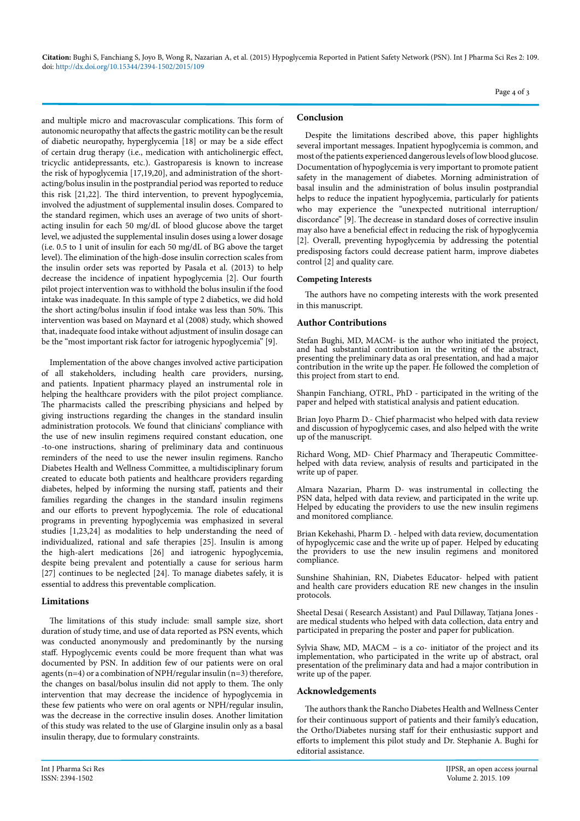**Citation:** Bughi S, Fanchiang S, Joyo B, Wong R, Na[z](http://dx.doi.org/10.15344/2394-1502/2015/108%20)arian A, et al. (2015) Hypoglycemia Reported in Patient Safety Network (PSN). Int J Pharma Sci Res 2: 109. doi:<http://dx.doi.org/10.15344/2394-1502/2015/109>

Page 4 of 3

and multiple micro and macrovascular complications. This form of autonomic neuropathy that affects the gastric motility can be the result of diabetic neuropathy, hyperglycemia [18] or may be a side effect of certain drug therapy (i.e., medication with anticholinergic effect, tricyclic antidepressants, etc.). Gastroparesis is known to increase the risk of hypoglycemia [17,19,20], and administration of the shortacting/bolus insulin in the postprandial period was reported to reduce this risk [21,22]. The third intervention, to prevent hypoglycemia, involved the adjustment of supplemental insulin doses. Compared to the standard regimen, which uses an average of two units of shortacting insulin for each 50 mg/dL of blood glucose above the target level, we adjusted the supplemental insulin doses using a lower dosage (i.e. 0.5 to 1 unit of insulin for each 50 mg/dL of BG above the target level). The elimination of the high-dose insulin correction scales from the insulin order sets was reported by Pasala et al. (2013) to help decrease the incidence of inpatient hypoglycemia [2]. Our fourth pilot project intervention was to withhold the bolus insulin if the food intake was inadequate. In this sample of type 2 diabetics, we did hold the short acting/bolus insulin if food intake was less than 50%. This intervention was based on Maynard et al (2008) study, which showed that, inadequate food intake without adjustment of insulin dosage can be the "most important risk factor for iatrogenic hypoglycemia" [9].

Implementation of the above changes involved active participation of all stakeholders, including health care providers, nursing, and patients. Inpatient pharmacy played an instrumental role in helping the healthcare providers with the pilot project compliance. The pharmacists called the prescribing physicians and helped by giving instructions regarding the changes in the standard insulin administration protocols. We found that clinicians' compliance with the use of new insulin regimens required constant education, one -to-one instructions, sharing of preliminary data and continuous reminders of the need to use the newer insulin regimens. Rancho Diabetes Health and Wellness Committee, a multidisciplinary forum created to educate both patients and healthcare providers regarding diabetes, helped by informing the nursing staff, patients and their families regarding the changes in the standard insulin regimens and our efforts to prevent hypoglycemia. The role of educational programs in preventing hypoglycemia was emphasized in several studies [1,23,24] as modalities to help understanding the need of individualized, rational and safe therapies [25]. Insulin is among the high-alert medications [26] and iatrogenic hypoglycemia, despite being prevalent and potentially a cause for serious harm [27] continues to be neglected [24]. To manage diabetes safely, it is essential to address this preventable complication.

# **Limitations**

The limitations of this study include: small sample size, short duration of study time, and use of data reported as PSN events, which was conducted anonymously and predominantly by the nursing staff. Hypoglycemic events could be more frequent than what was documented by PSN. In addition few of our patients were on oral agents (n=4) or a combination of NPH/regular insulin (n=3) therefore, the changes on basal/bolus insulin did not apply to them. The only intervention that may decrease the incidence of hypoglycemia in these few patients who were on oral agents or NPH/regular insulin, was the decrease in the corrective insulin doses. Another limitation of this study was related to the use of Glargine insulin only as a basal insulin therapy, due to formulary constraints.

# **Conclusion**

Despite the limitations described above, this paper highlights several important messages. Inpatient hypoglycemia is common, and most of the patients experienced dangerous levels of low blood glucose. Documentation of hypoglycemia is very important to promote patient safety in the management of diabetes. Morning administration of basal insulin and the administration of bolus insulin postprandial helps to reduce the inpatient hypoglycemia, particularly for patients who may experience the "unexpected nutritional interruption/ discordance" [9]. The decrease in standard doses of corrective insulin may also have a beneficial effect in reducing the risk of hypoglycemia [2]. Overall, preventing hypoglycemia by addressing the potential predisposing factors could decrease patient harm, improve diabetes control [2] and quality care.

### **Competing Interests**

The authors have no competing interests with the work presented in this manuscript.

### **Author Contributions**

Stefan Bughi, MD, MACM- is the author who initiated the project, and had substantial contribution in the writing of the abstract, presenting the preliminary data as oral presentation, and had a major contribution in the write up the paper. He followed the completion of this project from start to end.

Shanpin Fanchiang, OTRL, PhD - participated in the writing of the paper and helped with statistical analysis and patient education.

Brian Joyo Pharm D.- Chief pharmacist who helped with data review and discussion of hypoglycemic cases, and also helped with the write up of the manuscript.

Richard Wong, MD- Chief Pharmacy and Therapeutic Committeehelped with data review, analysis of results and participated in the write up of paper.

Almara Nazarian, Pharm D- was instrumental in collecting the PSN data, helped with data review, and participated in the write up. Helped by educating the providers to use the new insulin regimens and monitored compliance.

Brian Kekehashi, Pharm D. - helped with data review, documentation of hypoglycemic case and the write up of paper. Helped by educating the providers to use the new insulin regimens and monitored compliance.

Sunshine Shahinian, RN, Diabetes Educator- helped with patient and health care providers education RE new changes in the insulin protocols.

Sheetal Desai ( Research Assistant) and Paul Dillaway, Tatjana Jones are medical students who helped with data collection, data entry and participated in preparing the poster and paper for publication.

Sylvia Shaw, MD, MACM – is a co- initiator of the project and its implementation, who participated in the write up of abstract, oral presentation of the preliminary data and had a major contribution in write up of the paper.

#### **Acknowledgements**

The authors thank the Rancho Diabetes Health and Wellness Center for their continuous support of patients and their family's education, the Ortho/Diabetes nursing staff for their enthusiastic support and efforts to implement this pilot study and Dr. Stephanie A. Bughi for editorial assistance.